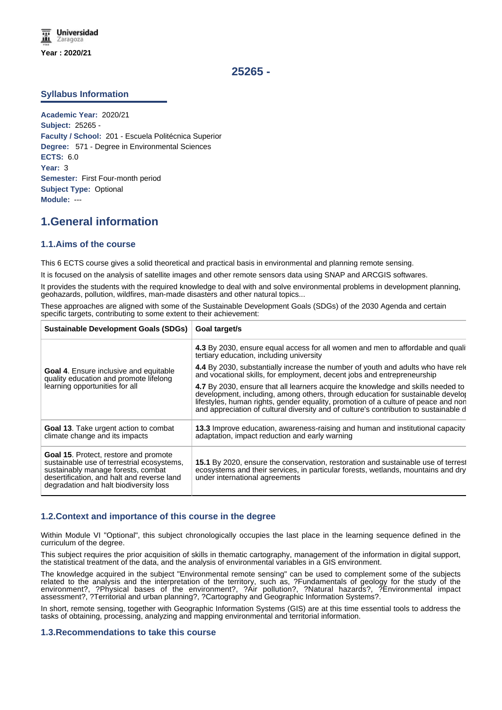# **25265 -**

## **Syllabus Information**

**Academic Year:** 2020/21 **Subject:** 25265 - **Faculty / School:** 201 - Escuela Politécnica Superior **Degree:** 571 - Degree in Environmental Sciences **ECTS:** 6.0 **Year:** 3 **Semester:** First Four-month period **Subject Type:** Optional **Module:** ---

# **1.General information**

## **1.1.Aims of the course**

This 6 ECTS course gives a solid theoretical and practical basis in environmental and planning remote sensing.

It is focused on the analysis of satellite images and other remote sensors data using SNAP and ARCGIS softwares.

It provides the students with the required knowledge to deal with and solve environmental problems in development planning, geohazards, pollution, wildfires, man-made disasters and other natural topics...

These approaches are aligned with some of the Sustainable Development Goals (SDGs) of the 2030 Agenda and certain specific targets, contributing to some extent to their achievement:

| <b>Sustainable Development Goals (SDGs)</b>                                                                                                                                                                              | Goal target/s                                                                                                                                                                                                                                                                                                                                      |  |  |
|--------------------------------------------------------------------------------------------------------------------------------------------------------------------------------------------------------------------------|----------------------------------------------------------------------------------------------------------------------------------------------------------------------------------------------------------------------------------------------------------------------------------------------------------------------------------------------------|--|--|
| <b>Goal 4.</b> Ensure inclusive and equitable<br>quality education and promote lifelong<br>learning opportunities for all                                                                                                | 4.3 By 2030, ensure equal access for all women and men to affordable and quali<br>tertiary education, including university                                                                                                                                                                                                                         |  |  |
|                                                                                                                                                                                                                          | 4.4 By 2030, substantially increase the number of youth and adults who have rele<br>and vocational skills, for employment, decent jobs and entrepreneurship                                                                                                                                                                                        |  |  |
|                                                                                                                                                                                                                          | 4.7 By 2030, ensure that all learners acquire the knowledge and skills needed to<br>development, including, among others, through education for sustainable develop<br>lifestyles, human rights, gender equality, promotion of a culture of peace and non<br>and appreciation of cultural diversity and of culture's contribution to sustainable d |  |  |
| <b>Goal 13.</b> Take urgent action to combat<br>climate change and its impacts                                                                                                                                           | <b>13.3</b> Improve education, awareness-raising and human and institutional capacity<br>adaptation, impact reduction and early warning                                                                                                                                                                                                            |  |  |
| <b>Goal 15. Protect, restore and promote</b><br>sustainable use of terrestrial ecosystems,<br>sustainably manage forests, combat<br>desertification, and halt and reverse land<br>degradation and halt biodiversity loss | 15.1 By 2020, ensure the conservation, restoration and sustainable use of terrest<br>ecosystems and their services, in particular forests, wetlands, mountains and dry<br>under international agreements                                                                                                                                           |  |  |

## **1.2.Context and importance of this course in the degree**

Within Module VI "Optional", this subject chronologically occupies the last place in the learning sequence defined in the curriculum of the degree.

This subject requires the prior acquisition of skills in thematic cartography, management of the information in digital support, the statistical treatment of the data, and the analysis of environmental variables in a GIS environment.

The knowledge acquired in the subject "Environmental remote sensing" can be used to complement some of the subjects related to the analysis and the interpretation of the territory, such as, ?Fundamentals of geology for the study of the environment?, ?Physical bases of the environment?, ?Air pollution?, ?Natural hazards?, ?Environmental impact assessment?, ?Territorial and urban planning?, ?Cartography and Geographic Information Systems?.

In short, remote sensing, together with Geographic Information Systems (GIS) are at this time essential tools to address the tasks of obtaining, processing, analyzing and mapping environmental and territorial information.

## **1.3.Recommendations to take this course**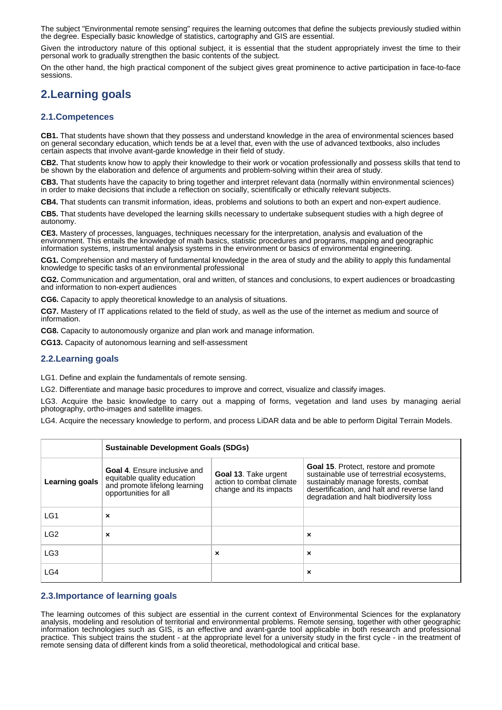The subject "Environmental remote sensing" requires the learning outcomes that define the subjects previously studied within the degree. Especially basic knowledge of statistics, cartography and GIS are essential.

Given the introductory nature of this optional subject, it is essential that the student appropriately invest the time to their personal work to gradually strengthen the basic contents of the subject.

On the other hand, the high practical component of the subject gives great prominence to active participation in face-to-face sessions.

# **2.Learning goals**

## **2.1.Competences**

**CB1.** That students have shown that they possess and understand knowledge in the area of environmental sciences based on general secondary education, which tends be at a level that, even with the use of advanced textbooks, also includes certain aspects that involve avant-garde knowledge in their field of study.

**CB2.** That students know how to apply their knowledge to their work or vocation professionally and possess skills that tend to be shown by the elaboration and defence of arguments and problem-solving within their area of study.

**CB3.** That students have the capacity to bring together and interpret relevant data (normally within environmental sciences) in order to make decisions that include a reflection on socially, scientifically or ethically relevant subjects.

**CB4.** That students can transmit information, ideas, problems and solutions to both an expert and non-expert audience.

**CB5.** That students have developed the learning skills necessary to undertake subsequent studies with a high degree of autonomy.

**CE3.** Mastery of processes, languages, techniques necessary for the interpretation, analysis and evaluation of the environment. This entails the knowledge of math basics, statistic procedures and programs, mapping and geographic information systems, instrumental analysis systems in the environment or basics of environmental engineering.

**CG1.** Comprehension and mastery of fundamental knowledge in the area of study and the ability to apply this fundamental knowledge to specific tasks of an environmental professional

**CG2.** Communication and argumentation, oral and written, of stances and conclusions, to expert audiences or broadcasting and information to non-expert audiences

**CG6.** Capacity to apply theoretical knowledge to an analysis of situations.

**CG7.** Mastery of IT applications related to the field of study, as well as the use of the internet as medium and source of information.

**CG8.** Capacity to autonomously organize and plan work and manage information.

**CG13.** Capacity of autonomous learning and self-assessment

## **2.2.Learning goals**

LG1. Define and explain the fundamentals of remote sensing.

LG2. Differentiate and manage basic procedures to improve and correct, visualize and classify images.

LG3. Acquire the basic knowledge to carry out a mapping of forms, vegetation and land uses by managing aerial photography, ortho-images and satellite images.

LG4. Acquire the necessary knowledge to perform, and process LiDAR data and be able to perform Digital Terrain Models.

|                 | <b>Sustainable Development Goals (SDGs)</b>                                                                                  |                                                                                   |                                                                                                                                                                                                                          |  |
|-----------------|------------------------------------------------------------------------------------------------------------------------------|-----------------------------------------------------------------------------------|--------------------------------------------------------------------------------------------------------------------------------------------------------------------------------------------------------------------------|--|
| Learning goals  | <b>Goal 4.</b> Ensure inclusive and<br>equitable quality education<br>and promote lifelong learning<br>opportunities for all | <b>Goal 13. Take urgent</b><br>action to combat climate<br>change and its impacts | <b>Goal 15. Protect, restore and promote</b><br>sustainable use of terrestrial ecosystems,<br>sustainably manage forests, combat<br>desertification, and halt and reverse land<br>degradation and halt biodiversity loss |  |
| LG <sub>1</sub> | ×                                                                                                                            |                                                                                   |                                                                                                                                                                                                                          |  |
| LG <sub>2</sub> | ×                                                                                                                            |                                                                                   | $\pmb{\times}$                                                                                                                                                                                                           |  |
| LG <sub>3</sub> |                                                                                                                              | $\boldsymbol{\mathsf{x}}$                                                         | $\boldsymbol{\mathsf{x}}$                                                                                                                                                                                                |  |
| LG4             |                                                                                                                              |                                                                                   | $\pmb{\times}$                                                                                                                                                                                                           |  |

## **2.3.Importance of learning goals**

The learning outcomes of this subject are essential in the current context of Environmental Sciences for the explanatory analysis, modeling and resolution of territorial and environmental problems. Remote sensing, together with other geographic information technologies such as GIS, is an effective and avant-garde tool applicable in both research and professional practice. This subject trains the student - at the appropriate level for a university study in the first cycle - in the treatment of remote sensing data of different kinds from a solid theoretical, methodological and critical base.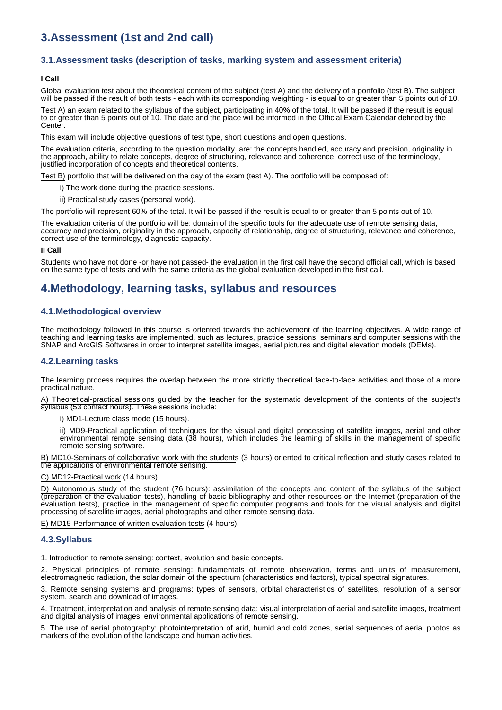# **3.Assessment (1st and 2nd call)**

### **3.1.Assessment tasks (description of tasks, marking system and assessment criteria)**

#### **I Call**

Global evaluation test about the theoretical content of the subject (test A) and the delivery of a portfolio (test B). The subject will be passed if the result of both tests - each with its corresponding weighting - is equal to or greater than 5 points out of 10.

Test A) an exam related to the syllabus of the subject, participating in 40% of the total. It will be passed if the result is equal to or greater than 5 points out of 10. The date and the place will be informed in the Official Exam Calendar defined by the Center.

This exam will include objective questions of test type, short questions and open questions.

The evaluation criteria, according to the question modality, are: the concepts handled, accuracy and precision, originality in the approach, ability to relate concepts, degree of structuring, relevance and coherence, correct use of the terminology, justified incorporation of concepts and theoretical contents.

Test B) portfolio that will be delivered on the day of the exam (test A). The portfolio will be composed of:

i) The work done during the practice sessions.

ii) Practical study cases (personal work).

The portfolio will represent 60% of the total. It will be passed if the result is equal to or greater than 5 points out of 10.

The evaluation criteria of the portfolio will be: domain of the specific tools for the adequate use of remote sensing data, accuracy and precision, originality in the approach, capacity of relationship, degree of structuring, relevance and coherence, correct use of the terminology, diagnostic capacity.

#### **II Call**

Students who have not done -or have not passed- the evaluation in the first call have the second official call, which is based on the same type of tests and with the same criteria as the global evaluation developed in the first call.

# **4.Methodology, learning tasks, syllabus and resources**

#### **4.1.Methodological overview**

The methodology followed in this course is oriented towards the achievement of the learning objectives. A wide range of teaching and learning tasks are implemented, such as lectures, practice sessions, seminars and computer sessions with the SNAP and ArcGIS Softwares in order to interpret satellite images, aerial pictures and digital elevation models (DEMs).

#### **4.2.Learning tasks**

The learning process requires the overlap between the more strictly theoretical face-to-face activities and those of a more practical nature.

A) Theoretical-practical sessions guided by the teacher for the systematic development of the contents of the subject's syllabus (53 contact hours). These sessions include:

i) MD1-Lecture class mode (15 hours).

ii) MD9-Practical application of techniques for the visual and digital processing of satellite images, aerial and other environmental remote sensing data (38 hours), which includes the learning of skills in the management of specific remote sensing software.

B) MD10-Seminars of collaborative work with the students (3 hours) oriented to critical reflection and study cases related to the applications of environmental remote sensing.

C) MD12-Practical work (14 hours).

D) Autonomous study of the student (76 hours): assimilation of the concepts and content of the syllabus of the subject (preparation of the evaluation tests), handling of basic bibliography and other resources on the Internet (preparation of the evaluation tests), practice in the management of specific computer programs and tools for the visual analysis and digital processing of satellite images, aerial photographs and other remote sensing data.

E) MD15-Performance of written evaluation tests (4 hours).

#### **4.3.Syllabus**

1. Introduction to remote sensing: context, evolution and basic concepts.

2. Physical principles of remote sensing: fundamentals of remote observation, terms and units of measurement, electromagnetic radiation, the solar domain of the spectrum (characteristics and factors), typical spectral signatures.

3. Remote sensing systems and programs: types of sensors, orbital characteristics of satellites, resolution of a sensor system, search and download of images.

4. Treatment, interpretation and analysis of remote sensing data: visual interpretation of aerial and satellite images, treatment and digital analysis of images, environmental applications of remote sensing.

5. The use of aerial photography: photointerpretation of arid, humid and cold zones, serial sequences of aerial photos as markers of the evolution of the landscape and human activities.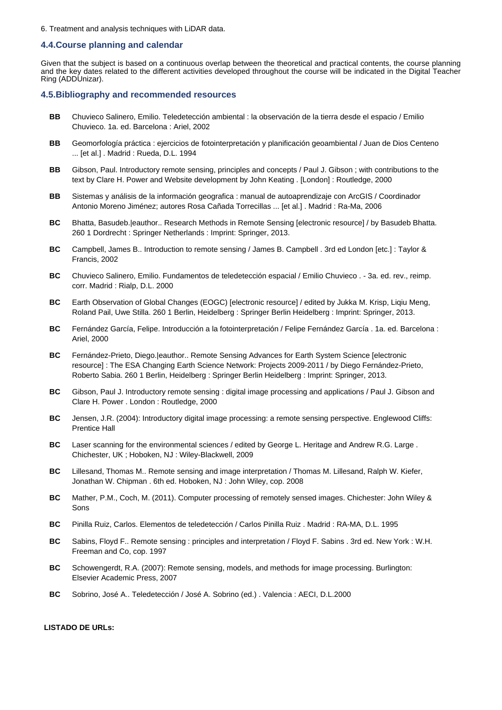6. Treatment and analysis techniques with LiDAR data.

#### **4.4.Course planning and calendar**

Given that the subject is based on a continuous overlap between the theoretical and practical contents, the course planning and the key dates related to the different activities developed throughout the course will be indicated in the Digital Teacher Ring (ADDUnizar).

#### **4.5.Bibliography and recommended resources**

- **BB** Chuvieco Salinero, Emilio. Teledetección ambiental : la observación de la tierra desde el espacio / Emilio Chuvieco. 1a. ed. Barcelona : Ariel, 2002
- **BB** Geomorfología práctica : ejercicios de fotointerpretación y planificación geoambiental / Juan de Dios Centeno ... [et al.] . Madrid : Rueda, D.L. 1994
- **BB** Gibson, Paul. Introductory remote sensing, principles and concepts / Paul J. Gibson ; with contributions to the text by Clare H. Power and Website development by John Keating . [London] : Routledge, 2000
- **BB** Sistemas y análisis de la información geografica : manual de autoaprendizaje con ArcGIS / Coordinador Antonio Moreno Jiménez; autores Rosa Cañada Torrecillas ... [et al.] . Madrid : Ra-Ma, 2006
- **BC** Bhatta, Basudeb.|eauthor.. Research Methods in Remote Sensing [electronic resource] / by Basudeb Bhatta. 260 1 Dordrecht : Springer Netherlands : Imprint: Springer, 2013.
- **BC** Campbell, James B.. Introduction to remote sensing / James B. Campbell . 3rd ed London [etc.] : Taylor & Francis, 2002
- **BC** Chuvieco Salinero, Emilio. Fundamentos de teledetección espacial / Emilio Chuvieco . 3a. ed. rev., reimp. corr. Madrid : Rialp, D.L. 2000
- **BC** Earth Observation of Global Changes (EOGC) [electronic resource] / edited by Jukka M. Krisp, Liqiu Meng, Roland Pail, Uwe Stilla. 260 1 Berlin, Heidelberg : Springer Berlin Heidelberg : Imprint: Springer, 2013.
- **BC** Fernández García, Felipe. Introducción a la fotointerpretación / Felipe Fernández García . 1a. ed. Barcelona : Ariel, 2000
- **BC** Fernández-Prieto, Diego.|eauthor.. Remote Sensing Advances for Earth System Science [electronic resource] : The ESA Changing Earth Science Network: Projects 2009-2011 / by Diego Fernández-Prieto, Roberto Sabia. 260 1 Berlin, Heidelberg : Springer Berlin Heidelberg : Imprint: Springer, 2013.
- **BC** Gibson, Paul J. Introductory remote sensing : digital image processing and applications / Paul J. Gibson and Clare H. Power . London : Routledge, 2000
- **BC** Jensen, J.R. (2004): Introductory digital image processing: a remote sensing perspective. Englewood Cliffs: Prentice Hall
- **BC** Laser scanning for the environmental sciences / edited by George L. Heritage and Andrew R.G. Large . Chichester, UK ; Hoboken, NJ : Wiley-Blackwell, 2009
- **BC** Lillesand, Thomas M.. Remote sensing and image interpretation / Thomas M. Lillesand, Ralph W. Kiefer, Jonathan W. Chipman . 6th ed. Hoboken, NJ : John Wiley, cop. 2008
- **BC** Mather, P.M., Coch, M. (2011). Computer processing of remotely sensed images. Chichester: John Wiley & Sons
- **BC** Pinilla Ruiz, Carlos. Elementos de teledetección / Carlos Pinilla Ruiz . Madrid : RA-MA, D.L. 1995
- **BC** Sabins, Floyd F.. Remote sensing : principles and interpretation / Floyd F. Sabins . 3rd ed. New York : W.H. Freeman and Co, cop. 1997
- **BC** Schowengerdt, R.A. (2007): Remote sensing, models, and methods for image processing. Burlington: Elsevier Academic Press, 2007
- **BC** Sobrino, José A.. Teledetección / José A. Sobrino (ed.) . Valencia : AECI, D.L.2000

#### **LISTADO DE URLs:**